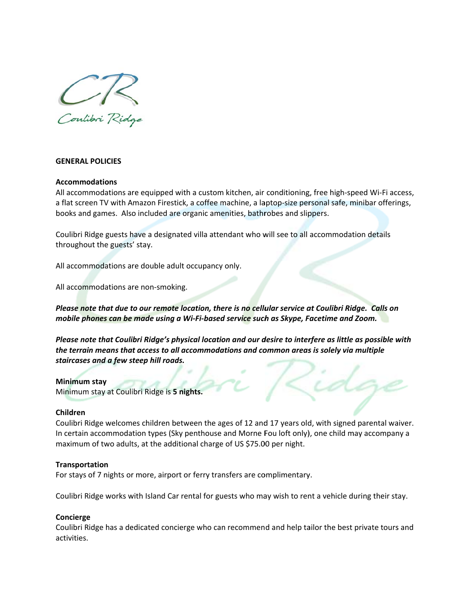

## **GENERAL POLICIES**

### **Accommodations**

All accommodations are equipped with a custom kitchen, air conditioning, free high-speed Wi-Fi access, a flat screen TV with Amazon Firestick, a coffee machine, a laptop-size personal safe, minibar offerings, books and games. Also included are organic amenities, bathrobes and slippers.

Coulibri Ridge guests have a designated villa attendant who will see to all accommodation details throughout the guests' stay.

All accommodations are double adult occupancy only.

All accommodations are non-smoking.

Please note that due to our remote location, there is no cellular service at Coulibri Ridge. Calls on mobile phones can be made using a Wi-Fi-based service such as Skype, Facetime and Zoom.

Please note that Coulibri Ridge's physical location and our desire to interfere as little as possible with the terrain means that access to all accommodations and common areas is solely via multiple staircases and a few steep hill roads.

### Minimum stay

Minimum stay at Coulibri Ridge is 5 nights.

#### Children

Coulibri Ridge welcomes children between the ages of 12 and 17 years old, with signed parental waiver. In certain accommodation types (Sky penthouse and Morne Fou loft only), one child may accompany a maximum of two adults, at the additional charge of US \$75.00 per night.

### Transportation

For stays of 7 nights or more, airport or ferry transfers are complimentary.

Coulibri Ridge works with Island Car rental for guests who may wish to rent a vehicle during their stay.

### Concierge

Coulibri Ridge has a dedicated concierge who can recommend and help tailor the best private tours and activities.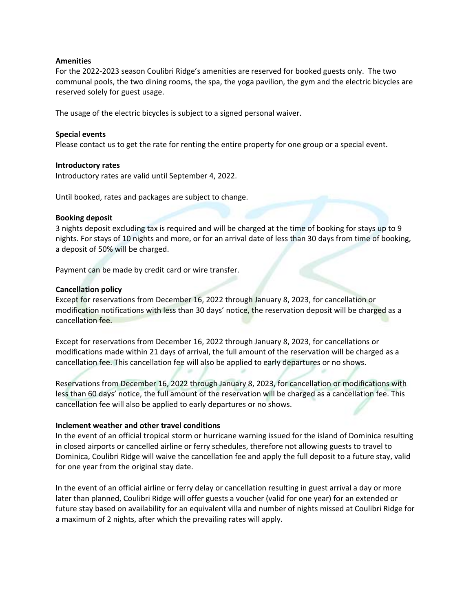### **Amenities**

For the 2022‐2023 season Coulibri Ridge's amenities are reserved for booked guests only. The two communal pools, the two dining rooms, the spa, the yoga pavilion, the gym and the electric bicycles are reserved solely for guest usage.

The usage of the electric bicycles is subject to a signed personal waiver.

## **Special events**

Please contact us to get the rate for renting the entire property for one group or a special event.

### **Introductory rates**

Introductory rates are valid until September 4, 2022.

Until booked, rates and packages are subject to change.

### **Booking deposit**

3 nights deposit excluding tax is required and will be charged at the time of booking for stays up to 9 nights. For stays of 10 nights and more, or for an arrival date of less than 30 days from time of booking, a deposit of 50% will be charged.

Payment can be made by credit card or wire transfer.

## **Cancellation policy**

Except for reservations from December 16, 2022 through January 8, 2023, for cancellation or modification notifications with less than 30 days' notice, the reservation deposit will be charged as a cancellation fee.

Except for reservations from December 16, 2022 through January 8, 2023, for cancellations or modifications made within 21 days of arrival, the full amount of the reservation will be charged as a cancellation fee. This cancellation fee will also be applied to early departures or no shows.

Reservations from December 16, 2022 through January 8, 2023, for cancellation or modifications with less than 60 days' notice, the full amount of the reservation will be charged as a cancellation fee. This cancellation fee will also be applied to early departures or no shows.

### **Inclement weather and other travel conditions**

In the event of an official tropical storm or hurricane warning issued for the island of Dominica resulting in closed airports or cancelled airline or ferry schedules, therefore not allowing guests to travel to Dominica, Coulibri Ridge will waive the cancellation fee and apply the full deposit to a future stay, valid for one year from the original stay date.

In the event of an official airline or ferry delay or cancellation resulting in guest arrival a day or more later than planned, Coulibri Ridge will offer guests a voucher (valid for one year) for an extended or future stay based on availability for an equivalent villa and number of nights missed at Coulibri Ridge for a maximum of 2 nights, after which the prevailing rates will apply.